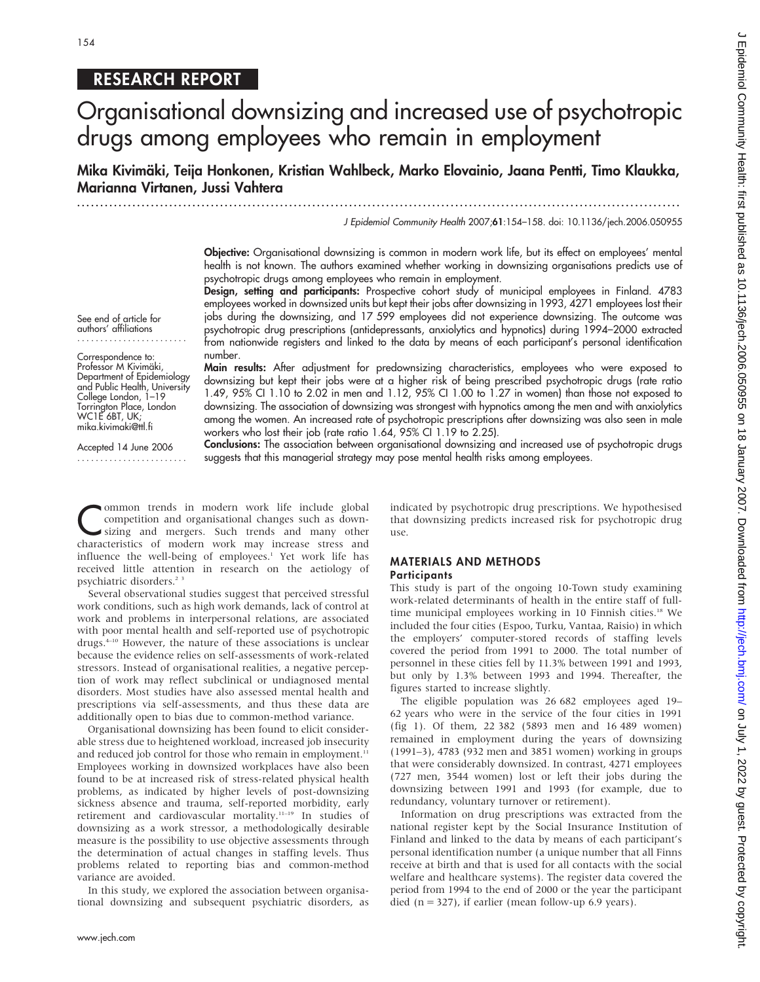# RESEARCH REPORT

# Organisational downsizing and increased use of psychotropic drugs among employees who remain in employment

Mika Kivimäki, Teija Honkonen, Kristian Wahlbeck, Marko Elovainio, Jaana Pentti, Timo Klaukka, Marianna Virtanen, Jussi Vahtera

...................................................................................................................................

J Epidemiol Community Health 2007;61:154–158. doi: 10.1136/jech.2006.050955

Objective: Organisational downsizing is common in modern work life, but its effect on employees' mental health is not known. The authors examined whether working in downsizing organisations predicts use of psychotropic drugs among employees who remain in employment.

Design, setting and participants: Prospective cohort study of municipal employees in Finland. 4783 employees worked in downsized units but kept their jobs after downsizing in 1993, 4271 employees lost their jobs during the downsizing, and 17 599 employees did not experience downsizing. The outcome was psychotropic drug prescriptions (antidepressants, anxiolytics and hypnotics) during 1994–2000 extracted from nationwide registers and linked to the data by means of each participant's personal identification number. Main results: After adjustment for predownsizing characteristics, employees who were exposed to

See end of article for authors' affiliations ........................

Correspondence to: Professor M Kivimäki, Department of Epidemiology and Public Health, University College London, 1–19 Torrington Place, London WC1E 6BT, UK; mika.kivimaki@ttl.fi

Accepted 14 June 2006 ........................ among the women. An increased rate of psychotropic prescriptions after downsizing was also seen in male workers who lost their job (rate ratio 1.64, 95% CI 1.19 to 2.25). Conclusions: The association between organisational downsizing and increased use of psychotropic drugs suggests that this managerial strategy may pose mental health risks among employees.

downsizing but kept their jobs were at a higher risk of being prescribed psychotropic drugs (rate ratio 1.49, 95% CI 1.10 to 2.02 in men and 1.12, 95% CI 1.00 to 1.27 in women) than those not exposed to downsizing. The association of downsizing was strongest with hypnotics among the men and with anxiolytics

Common trends in modern work life include global<br>
competition and organisational changes such as down-<br>
sizing and mergers. Such trends and many other competition and organisational changes such as downcharacteristics of modern work may increase stress and influence the well-being of employees.<sup>1</sup> Yet work life has received little attention in research on the aetiology of psychiatric disorders.<sup>23</sup>

Several observational studies suggest that perceived stressful work conditions, such as high work demands, lack of control at work and problems in interpersonal relations, are associated with poor mental health and self-reported use of psychotropic drugs.4–10 However, the nature of these associations is unclear because the evidence relies on self-assessments of work-related stressors. Instead of organisational realities, a negative perception of work may reflect subclinical or undiagnosed mental disorders. Most studies have also assessed mental health and prescriptions via self-assessments, and thus these data are additionally open to bias due to common-method variance.

Organisational downsizing has been found to elicit considerable stress due to heightened workload, increased job insecurity and reduced job control for those who remain in employment.<sup>11</sup> Employees working in downsized workplaces have also been found to be at increased risk of stress-related physical health problems, as indicated by higher levels of post-downsizing sickness absence and trauma, self-reported morbidity, early retirement and cardiovascular mortality.11–19 In studies of downsizing as a work stressor, a methodologically desirable measure is the possibility to use objective assessments through the determination of actual changes in staffing levels. Thus problems related to reporting bias and common-method variance are avoided.

In this study, we explored the association between organisational downsizing and subsequent psychiatric disorders, as indicated by psychotropic drug prescriptions. We hypothesised that downsizing predicts increased risk for psychotropic drug use.

#### MATERIALS AND METHODS **Participants**

This study is part of the ongoing 10-Town study examining work-related determinants of health in the entire staff of fulltime municipal employees working in 10 Finnish cities.<sup>18</sup> We included the four cities (Espoo, Turku, Vantaa, Raisio) in which the employers' computer-stored records of staffing levels covered the period from 1991 to 2000. The total number of personnel in these cities fell by 11.3% between 1991 and 1993, but only by 1.3% between 1993 and 1994. Thereafter, the figures started to increase slightly.

The eligible population was 26 682 employees aged 19– 62 years who were in the service of the four cities in 1991 (fig 1). Of them, 22 382 (5893 men and 16 489 women) remained in employment during the years of downsizing (1991–3), 4783 (932 men and 3851 women) working in groups that were considerably downsized. In contrast, 4271 employees (727 men, 3544 women) lost or left their jobs during the downsizing between 1991 and 1993 (for example, due to redundancy, voluntary turnover or retirement).

Information on drug prescriptions was extracted from the national register kept by the Social Insurance Institution of Finland and linked to the data by means of each participant's personal identification number (a unique number that all Finns receive at birth and that is used for all contacts with the social welfare and healthcare systems). The register data covered the period from 1994 to the end of 2000 or the year the participant died ( $n = 327$ ), if earlier (mean follow-up 6.9 years).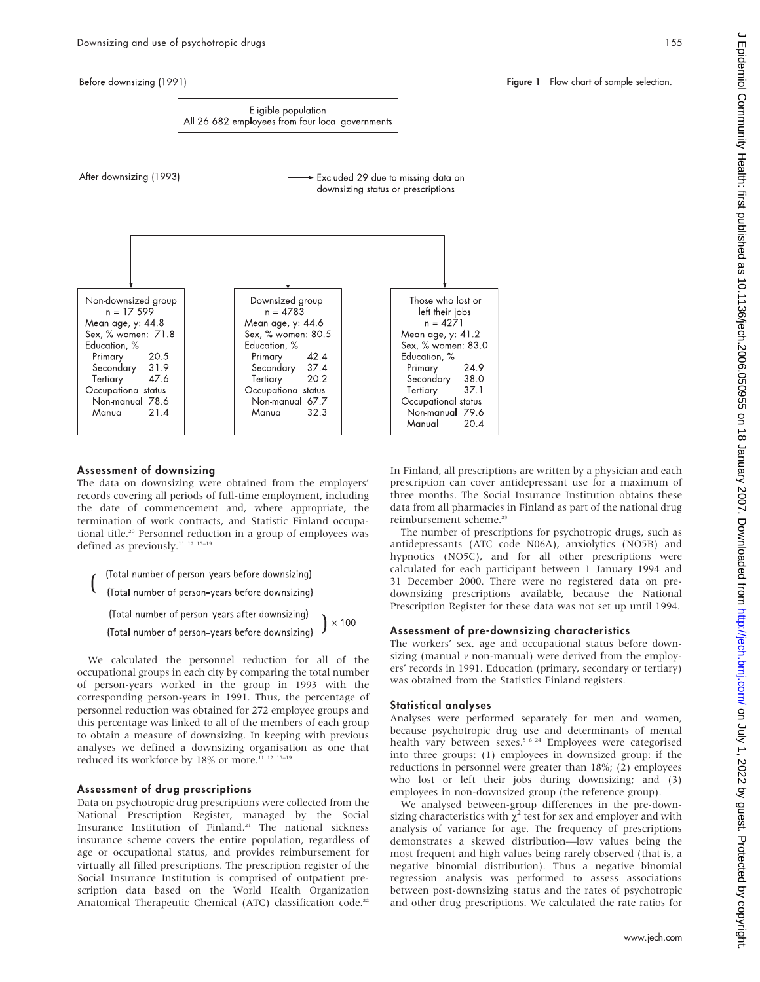Before downsizing (1991)



#### Assessment of downsizing

The data on downsizing were obtained from the employers' records covering all periods of full-time employment, including the date of commencement and, where appropriate, the termination of work contracts, and Statistic Finland occupational title.<sup>20</sup> Personnel reduction in a group of employees was defined as previously.<sup>11 12 15-19</sup>

$$
\left(\frac{\text{Total number of person-years before downsizing)}}{\text{(Total number of person-years before downsizing)}}\right)
$$
\n
$$
-\frac{\text{(Total number of person-years after downsizing)}}{\text{(Total number of person-years after downsizing)}}\right) \times 100
$$

We calculated the personnel reduction for all of the occupational groups in each city by comparing the total number of person-years worked in the group in 1993 with the corresponding person-years in 1991. Thus, the percentage of personnel reduction was obtained for 272 employee groups and this percentage was linked to all of the members of each group to obtain a measure of downsizing. In keeping with previous analyses we defined a downsizing organisation as one that reduced its workforce by 18% or more.<sup>11 12 15-19</sup>

### Assessment of drug prescriptions

Data on psychotropic drug prescriptions were collected from the National Prescription Register, managed by the Social Insurance Institution of Finland.21 The national sickness insurance scheme covers the entire population, regardless of age or occupational status, and provides reimbursement for virtually all filled prescriptions. The prescription register of the Social Insurance Institution is comprised of outpatient prescription data based on the World Health Organization Anatomical Therapeutic Chemical (ATC) classification code.<sup>22</sup>

In Finland, all prescriptions are written by a physician and each prescription can cover antidepressant use for a maximum of three months. The Social Insurance Institution obtains these data from all pharmacies in Finland as part of the national drug reimbursement scheme.<sup>23</sup>

The number of prescriptions for psychotropic drugs, such as antidepressants (ATC code N06A), anxiolytics (NO5B) and hypnotics (NO5C), and for all other prescriptions were calculated for each participant between 1 January 1994 and 31 December 2000. There were no registered data on predownsizing prescriptions available, because the National Prescription Register for these data was not set up until 1994.

#### Assessment of pre-downsizing characteristics

The workers' sex, age and occupational status before downsizing (manual  $\nu$  non-manual) were derived from the employers' records in 1991. Education (primary, secondary or tertiary) was obtained from the Statistics Finland registers.

#### Statistical analyses

Analyses were performed separately for men and women, because psychotropic drug use and determinants of mental health vary between sexes.<sup>5 6 24</sup> Employees were categorised into three groups: (1) employees in downsized group: if the reductions in personnel were greater than 18%; (2) employees who lost or left their jobs during downsizing; and (3) employees in non-downsized group (the reference group).

We analysed between-group differences in the pre-downsizing characteristics with  $\chi^2$  test for sex and employer and with analysis of variance for age. The frequency of prescriptions demonstrates a skewed distribution—low values being the most frequent and high values being rarely observed (that is, a negative binomial distribution). Thus a negative binomial regression analysis was performed to assess associations between post-downsizing status and the rates of psychotropic and other drug prescriptions. We calculated the rate ratios for

#### Figure 1 Flow chart of sample selection.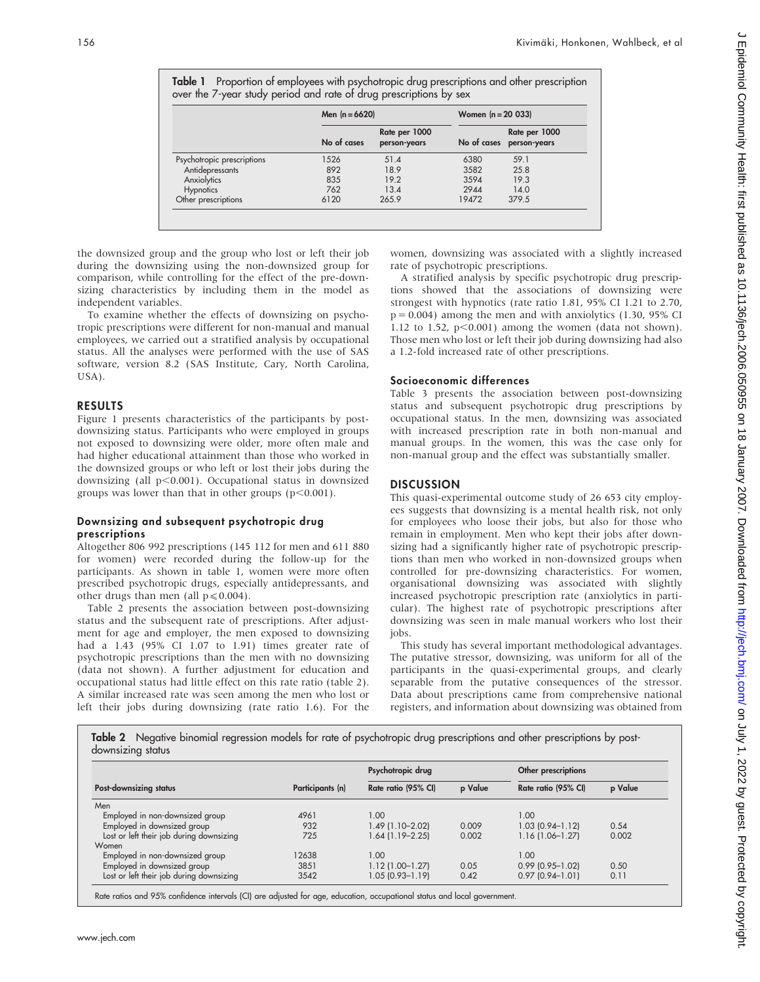Table 1 Proportion of employees with psychotropic drug prescriptions and other prescription over the 7-year study period and rate of drug prescriptions by sex

|                            | Men $(n = 6620)$ |                               | Women $(n = 20 033)$ |                               |  |
|----------------------------|------------------|-------------------------------|----------------------|-------------------------------|--|
|                            | No of cases      | Rate per 1000<br>person-years | No of cases          | Rate per 1000<br>person-years |  |
| Psychotropic prescriptions | 1526             | 51.4                          | 6380                 | 59.1                          |  |
| Antidepressants            | 892              | 18.9                          | 3582                 | 25.8                          |  |
| Anxiolytics                | 835              | 19.2                          | 3594                 | 19.3                          |  |
| <b>Hypnotics</b>           | 762              | 13.4                          | 2944                 | 14.0                          |  |
| Other prescriptions        | 6120             | 265.9                         | 19472                | 379.5                         |  |

the downsized group and the group who lost or left their job during the downsizing using the non-downsized group for comparison, while controlling for the effect of the pre-downsizing characteristics by including them in the model as independent variables.

To examine whether the effects of downsizing on psychotropic prescriptions were different for non-manual and manual employees, we carried out a stratified analysis by occupational status. All the analyses were performed with the use of SAS software, version 8.2 (SAS Institute, Cary, North Carolina, USA).

#### RESULTS

Figure 1 presents characteristics of the participants by postdownsizing status. Participants who were employed in groups not exposed to downsizing were older, more often male and had higher educational attainment than those who worked in the downsized groups or who left or lost their jobs during the downsizing (all  $p<0.001$ ). Occupational status in downsized groups was lower than that in other groups  $(p<0.001)$ .

### Downsizing and subsequent psychotropic drug prescriptions

Altogether 806 992 prescriptions (145 112 for men and 611 880 for women) were recorded during the follow-up for the participants. As shown in table 1, women were more often prescribed psychotropic drugs, especially antidepressants, and other drugs than men (all  $p \le 0.004$ ).

Table 2 presents the association between post-downsizing status and the subsequent rate of prescriptions. After adjustment for age and employer, the men exposed to downsizing had a 1.43 (95% CI 1.07 to 1.91) times greater rate of psychotropic prescriptions than the men with no downsizing (data not shown). A further adjustment for education and occupational status had little effect on this rate ratio (table 2). A similar increased rate was seen among the men who lost or left their jobs during downsizing (rate ratio 1.6). For the women, downsizing was associated with a slightly increased rate of psychotropic prescriptions.

A stratified analysis by specific psychotropic drug prescriptions showed that the associations of downsizing were strongest with hypnotics (rate ratio 1.81, 95% CI 1.21 to 2.70,  $p = 0.004$ ) among the men and with anxiolytics (1.30, 95% CI 1.12 to 1.52,  $p<0.001$ ) among the women (data not shown). Those men who lost or left their job during downsizing had also a 1.2-fold increased rate of other prescriptions.

#### Socioeconomic differences

Table 3 presents the association between post-downsizing status and subsequent psychotropic drug prescriptions by occupational status. In the men, downsizing was associated with increased prescription rate in both non-manual and manual groups. In the women, this was the case only for non-manual group and the effect was substantially smaller.

### **DISCUSSION**

This quasi-experimental outcome study of 26 653 city employees suggests that downsizing is a mental health risk, not only for employees who loose their jobs, but also for those who remain in employment. Men who kept their jobs after downsizing had a significantly higher rate of psychotropic prescriptions than men who worked in non-downsized groups when controlled for pre-downsizing characteristics. For women, organisational downsizing was associated with slightly increased psychotropic prescription rate (anxiolytics in particular). The highest rate of psychotropic prescriptions after downsizing was seen in male manual workers who lost their jobs.

This study has several important methodological advantages. The putative stressor, downsizing, was uniform for all of the participants in the quasi-experimental groups, and clearly separable from the putative consequences of the stressor. Data about prescriptions came from comprehensive national registers, and information about downsizing was obtained from

Table 2 Negative binomial regression models for rate of psychotropic drug prescriptions and other prescriptions by postdownsizing status

| Post-downsizing status                   | Participants (n) | Psychotropic drug   |         | Other prescriptions    |         |
|------------------------------------------|------------------|---------------------|---------|------------------------|---------|
|                                          |                  | Rate ratio (95% CI) | p Value | Rate ratio (95% CI)    | p Value |
| Men                                      |                  |                     |         |                        |         |
| Employed in non-downsized group          | 4961             | 1.00                |         | 1.00                   |         |
| Employed in downsized group              | 932              | $1.49(1.10 - 2.02)$ | 0.009   | $1.03(0.94 - 1.12)$    | 0.54    |
| Lost or left their job during downsizing | 725              | 1.64 (1.19–2.25)    | 0.002   | $1.16(1.06 - 1.27)$    | 0.002   |
| Women                                    |                  |                     |         |                        |         |
| Employed in non-downsized group          | 12638            | 1.00                |         | 1.00                   |         |
| Employed in downsized group              | 3851             | $1.12(1.00-1.27)$   | 0.05    | $0.99$ (0.95-1.02)     | 0.50    |
| Lost or left their job during downsizing | 3542             | 1.05 (0.93-1.19)    | 0.42    | $0.97$ $(0.94 - 1.01)$ | 0.11    |

Rate ratios and 95% confidence intervals (CI) are adjusted for age, education, occupational status and local government.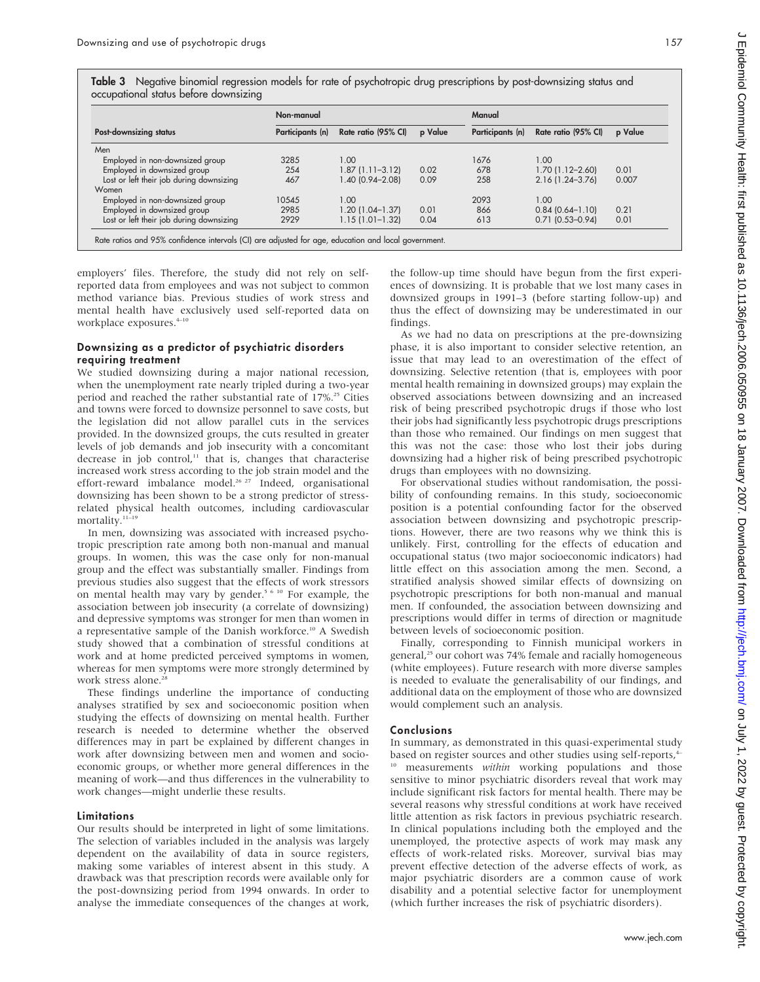Table 3 Negative binomial regression models for rate of psychotropic drug prescriptions by post-downsizing status and occupational status before downsizing

| Post-downsizing status                   | Non-manual       |                     |         | Manual           |                     |         |
|------------------------------------------|------------------|---------------------|---------|------------------|---------------------|---------|
|                                          | Participants (n) | Rate ratio (95% CI) | p Value | Participants (n) | Rate ratio (95% CI) | p Value |
| Men                                      |                  |                     |         |                  |                     |         |
| Employed in non-downsized group          | 3285             | 1.00                |         | 1676             | 1.00                |         |
| Employed in downsized group              | 254              | $1.87(1.11 - 3.12)$ | 0.02    | 678              | $1.70(1.12 - 2.60)$ | 0.01    |
| Lost or left their job during downsizing | 467              | 1.40 (0.94-2.08)    | 0.09    | 258              | $2.16(1.24 - 3.76)$ | 0.007   |
| Women                                    |                  |                     |         |                  |                     |         |
| Employed in non-downsized group          | 10545            | 1.00                |         | 2093             | 1.00                |         |
| Employed in downsized group              | 2985             | $1.20(1.04-1.37)$   | 0.01    | 866              | $0.84(0.64 - 1.10)$ | 0.21    |
| Lost or left their job during downsizing | 2929             | $1.15(1.01 - 1.32)$ | 0.04    | 613              | $0.71(0.53 - 0.94)$ | 0.01    |

employers' files. Therefore, the study did not rely on selfreported data from employees and was not subject to common method variance bias. Previous studies of work stress and mental health have exclusively used self-reported data on workplace exposures.<sup>4-10</sup>

#### Downsizing as a predictor of psychiatric disorders requiring treatment

We studied downsizing during a major national recession, when the unemployment rate nearly tripled during a two-year period and reached the rather substantial rate of 17%.<sup>25</sup> Cities and towns were forced to downsize personnel to save costs, but the legislation did not allow parallel cuts in the services provided. In the downsized groups, the cuts resulted in greater levels of job demands and job insecurity with a concomitant decrease in job control,<sup>11</sup> that is, changes that characterise increased work stress according to the job strain model and the effort-reward imbalance model.<sup>26 27</sup> Indeed, organisational downsizing has been shown to be a strong predictor of stressrelated physical health outcomes, including cardiovascular mortality.<sup>11-19</sup>

In men, downsizing was associated with increased psychotropic prescription rate among both non-manual and manual groups. In women, this was the case only for non-manual group and the effect was substantially smaller. Findings from previous studies also suggest that the effects of work stressors on mental health may vary by gender.<sup>5 6 10</sup> For example, the association between job insecurity (a correlate of downsizing) and depressive symptoms was stronger for men than women in a representative sample of the Danish workforce.<sup>10</sup> A Swedish study showed that a combination of stressful conditions at work and at home predicted perceived symptoms in women, whereas for men symptoms were more strongly determined by work stress alone.<sup>28</sup>

These findings underline the importance of conducting analyses stratified by sex and socioeconomic position when studying the effects of downsizing on mental health. Further research is needed to determine whether the observed differences may in part be explained by different changes in work after downsizing between men and women and socioeconomic groups, or whether more general differences in the meaning of work—and thus differences in the vulnerability to work changes—might underlie these results.

#### Limitations

Our results should be interpreted in light of some limitations. The selection of variables included in the analysis was largely dependent on the availability of data in source registers, making some variables of interest absent in this study. A drawback was that prescription records were available only for the post-downsizing period from 1994 onwards. In order to analyse the immediate consequences of the changes at work,

the follow-up time should have begun from the first experiences of downsizing. It is probable that we lost many cases in downsized groups in 1991–3 (before starting follow-up) and thus the effect of downsizing may be underestimated in our findings.

As we had no data on prescriptions at the pre-downsizing phase, it is also important to consider selective retention, an issue that may lead to an overestimation of the effect of downsizing. Selective retention (that is, employees with poor mental health remaining in downsized groups) may explain the observed associations between downsizing and an increased risk of being prescribed psychotropic drugs if those who lost their jobs had significantly less psychotropic drugs prescriptions than those who remained. Our findings on men suggest that this was not the case: those who lost their jobs during downsizing had a higher risk of being prescribed psychotropic drugs than employees with no downsizing.

For observational studies without randomisation, the possibility of confounding remains. In this study, socioeconomic position is a potential confounding factor for the observed association between downsizing and psychotropic prescriptions. However, there are two reasons why we think this is unlikely. First, controlling for the effects of education and occupational status (two major socioeconomic indicators) had little effect on this association among the men. Second, a stratified analysis showed similar effects of downsizing on psychotropic prescriptions for both non-manual and manual men. If confounded, the association between downsizing and prescriptions would differ in terms of direction or magnitude between levels of socioeconomic position.

Finally, corresponding to Finnish municipal workers in general,<sup>25</sup> our cohort was 74% female and racially homogeneous (white employees). Future research with more diverse samples is needed to evaluate the generalisability of our findings, and additional data on the employment of those who are downsized would complement such an analysis.

#### Conclusions

In summary, as demonstrated in this quasi-experimental study based on register sources and other studies using self-reports,<sup>4</sup>

measurements within working populations and those sensitive to minor psychiatric disorders reveal that work may include significant risk factors for mental health. There may be several reasons why stressful conditions at work have received little attention as risk factors in previous psychiatric research. In clinical populations including both the employed and the unemployed, the protective aspects of work may mask any effects of work-related risks. Moreover, survival bias may prevent effective detection of the adverse effects of work, as major psychiatric disorders are a common cause of work disability and a potential selective factor for unemployment (which further increases the risk of psychiatric disorders).